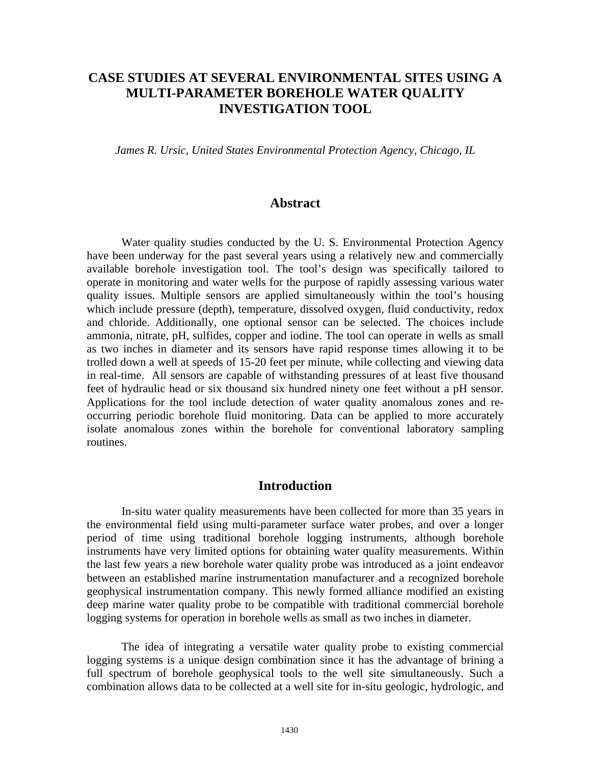# **CASE STUDIES AT SEVERAL ENVIRONMENTAL SITES USING A MULTI-PARAMETER BOREHOLE WATER QUALITY INVESTIGATION TOOL**

*James R. Ursic, United States Environmental Protection Agency, Chicago, IL* 

### **Abstract**

Water quality studies conducted by the U. S. Environmental Protection Agency have been underway for the past several years using a relatively new and commercially available borehole investigation tool. The tool's design was specifically tailored to operate in monitoring and water wells for the purpose of rapidly assessing various water quality issues. Multiple sensors are applied simultaneously within the tool's housing which include pressure (depth), temperature, dissolved oxygen, fluid conductivity, redox and chloride. Additionally, one optional sensor can be selected. The choices include ammonia, nitrate, pH, sulfides, copper and iodine. The tool can operate in wells as small as two inches in diameter and its sensors have rapid response times allowing it to be trolled down a well at speeds of 15-20 feet per minute, while collecting and viewing data in real-time. All sensors are capable of withstanding pressures of at least five thousand feet of hydraulic head or six thousand six hundred ninety one feet without a pH sensor. Applications for the tool include detection of water quality anomalous zones and reoccurring periodic borehole fluid monitoring. Data can be applied to more accurately isolate anomalous zones within the borehole for conventional laboratory sampling routines.

## **Introduction**

In-situ water quality measurements have been collected for more than 35 years in the environmental field using multi-parameter surface water probes, and over a longer period of time using traditional borehole logging instruments, although borehole instruments have very limited options for obtaining water quality measurements. Within the last few years a new borehole water quality probe was introduced as a joint endeavor between an established marine instrumentation manufacturer and a recognized borehole geophysical instrumentation company. This newly formed alliance modified an existing deep marine water quality probe to be compatible with traditional commercial borehole logging systems for operation in borehole wells as small as two inches in diameter.

The idea of integrating a versatile water quality probe to existing commercial logging systems is a unique design combination since it has the advantage of brining a full spectrum of borehole geophysical tools to the well site simultaneously. Such a combination allows data to be collected at a well site for in-situ geologic, hydrologic, and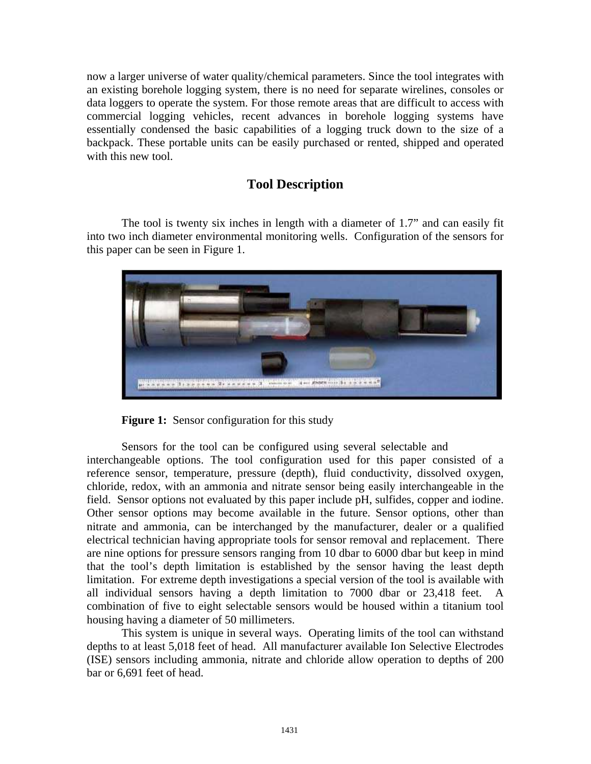now a larger universe of water quality/chemical parameters. Since the tool integrates with an existing borehole logging system, there is no need for separate wirelines, consoles or data loggers to operate the system. For those remote areas that are difficult to access with commercial logging vehicles, recent advances in borehole logging systems have essentially condensed the basic capabilities of a logging truck down to the size of a backpack. These portable units can be easily purchased or rented, shipped and operated with this new tool.

# **Tool Description**

The tool is twenty six inches in length with a diameter of 1.7" and can easily fit into two inch diameter environmental monitoring wells. Configuration of the sensors for this paper can be seen in Figure 1.



**Figure 1:** Sensor configuration for this study

Sensors for the tool can be configured using several selectable and interchangeable options. The tool configuration used for this paper consisted of a reference sensor, temperature, pressure (depth), fluid conductivity, dissolved oxygen, chloride, redox, with an ammonia and nitrate sensor being easily interchangeable in the field. Sensor options not evaluated by this paper include pH, sulfides, copper and iodine. Other sensor options may become available in the future. Sensor options, other than nitrate and ammonia, can be interchanged by the manufacturer, dealer or a qualified electrical technician having appropriate tools for sensor removal and replacement. There are nine options for pressure sensors ranging from 10 dbar to 6000 dbar but keep in mind that the tool's depth limitation is established by the sensor having the least depth limitation. For extreme depth investigations a special version of the tool is available with all individual sensors having a depth limitation to 7000 dbar or 23,418 feet. combination of five to eight selectable sensors would be housed within a titanium tool housing having a diameter of 50 millimeters.

This system is unique in several ways. Operating limits of the tool can withstand depths to at least 5,018 feet of head. All manufacturer available Ion Selective Electrodes (ISE) sensors including ammonia, nitrate and chloride allow operation to depths of 200 bar or 6,691 feet of head.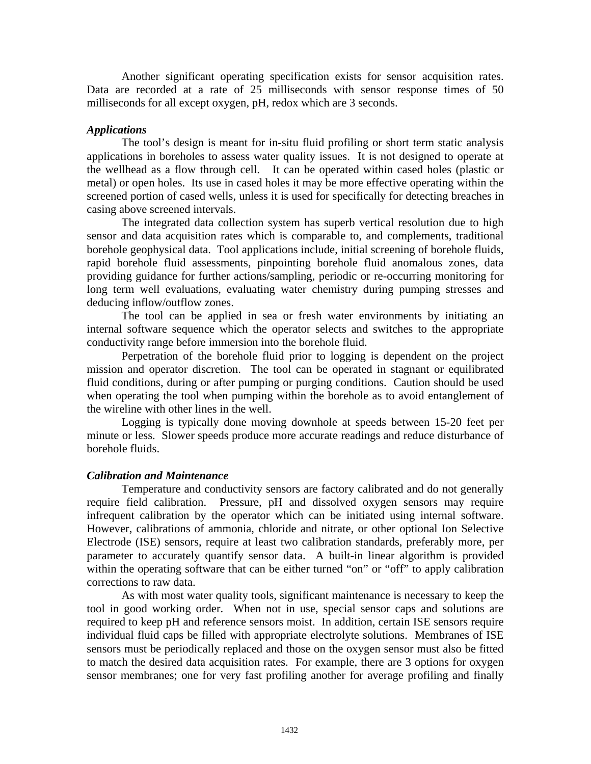Another significant operating specification exists for sensor acquisition rates. Data are recorded at a rate of 25 milliseconds with sensor response times of 50 milliseconds for all except oxygen, pH, redox which are 3 seconds.

#### *Applications*

The tool's design is meant for in-situ fluid profiling or short term static analysis applications in boreholes to assess water quality issues. It is not designed to operate at the wellhead as a flow through cell. It can be operated within cased holes (plastic or metal) or open holes. Its use in cased holes it may be more effective operating within the screened portion of cased wells, unless it is used for specifically for detecting breaches in casing above screened intervals.

The integrated data collection system has superb vertical resolution due to high sensor and data acquisition rates which is comparable to, and complements, traditional borehole geophysical data. Tool applications include, initial screening of borehole fluids, rapid borehole fluid assessments, pinpointing borehole fluid anomalous zones, data providing guidance for further actions/sampling, periodic or re-occurring monitoring for long term well evaluations, evaluating water chemistry during pumping stresses and deducing inflow/outflow zones.

The tool can be applied in sea or fresh water environments by initiating an internal software sequence which the operator selects and switches to the appropriate conductivity range before immersion into the borehole fluid.

Perpetration of the borehole fluid prior to logging is dependent on the project mission and operator discretion. The tool can be operated in stagnant or equilibrated fluid conditions, during or after pumping or purging conditions. Caution should be used when operating the tool when pumping within the borehole as to avoid entanglement of the wireline with other lines in the well.

Logging is typically done moving downhole at speeds between 15-20 feet per minute or less. Slower speeds produce more accurate readings and reduce disturbance of borehole fluids.

#### *Calibration and Maintenance*

Temperature and conductivity sensors are factory calibrated and do not generally require field calibration. Pressure, pH and dissolved oxygen sensors may require infrequent calibration by the operator which can be initiated using internal software. However, calibrations of ammonia, chloride and nitrate, or other optional Ion Selective Electrode (ISE) sensors, require at least two calibration standards, preferably more, per parameter to accurately quantify sensor data. A built-in linear algorithm is provided within the operating software that can be either turned "on" or "off" to apply calibration corrections to raw data.

As with most water quality tools, significant maintenance is necessary to keep the tool in good working order. When not in use, special sensor caps and solutions are required to keep pH and reference sensors moist. In addition, certain ISE sensors require individual fluid caps be filled with appropriate electrolyte solutions. Membranes of ISE sensors must be periodically replaced and those on the oxygen sensor must also be fitted to match the desired data acquisition rates. For example, there are 3 options for oxygen sensor membranes; one for very fast profiling another for average profiling and finally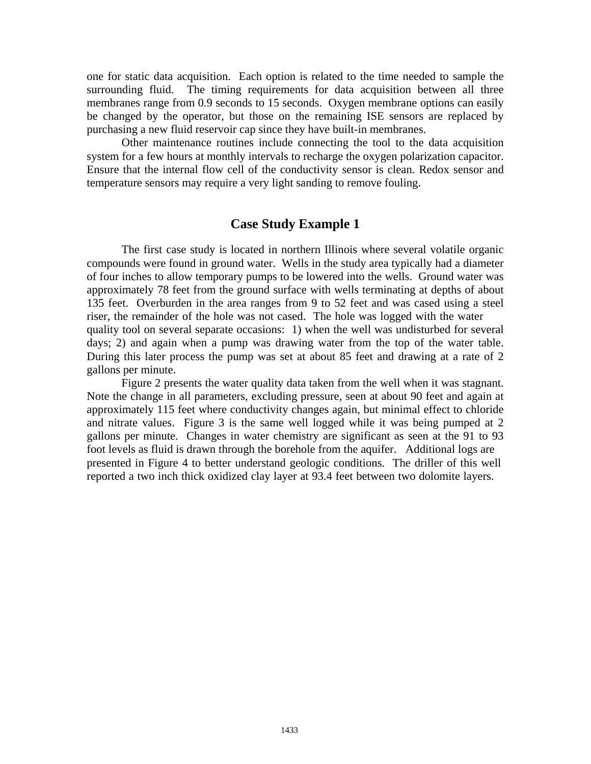one for static data acquisition. Each option is related to the time needed to sample the surrounding fluid. The timing requirements for data acquisition between all three membranes range from 0.9 seconds to 15 seconds. Oxygen membrane options can easily be changed by the operator, but those on the remaining ISE sensors are replaced by purchasing a new fluid reservoir cap since they have built-in membranes.

Other maintenance routines include connecting the tool to the data acquisition system for a few hours at monthly intervals to recharge the oxygen polarization capacitor. Ensure that the internal flow cell of the conductivity sensor is clean. Redox sensor and temperature sensors may require a very light sanding to remove fouling.

### **Case Study Example 1**

The first case study is located in northern Illinois where several volatile organic compounds were found in ground water. Wells in the study area typically had a diameter of four inches to allow temporary pumps to be lowered into the wells. Ground water was approximately 78 feet from the ground surface with wells terminating at depths of about 135 feet. Overburden in the area ranges from 9 to 52 feet and was cased using a steel riser, the remainder of the hole was not cased. The hole was logged with the water quality tool on several separate occasions: 1) when the well was undisturbed for several days; 2) and again when a pump was drawing water from the top of the water table. During this later process the pump was set at about 85 feet and drawing at a rate of 2 gallons per minute.

Figure 2 presents the water quality data taken from the well when it was stagnant. Note the change in all parameters, excluding pressure, seen at about 90 feet and again at approximately 115 feet where conductivity changes again, but minimal effect to chloride and nitrate values. Figure 3 is the same well logged while it was being pumped at 2 gallons per minute. Changes in water chemistry are significant as seen at the 91 to 93 foot levels as fluid is drawn through the borehole from the aquifer. Additional logs are presented in Figure 4 to better understand geologic conditions. The driller of this well reported a two inch thick oxidized clay layer at 93.4 feet between two dolomite layers.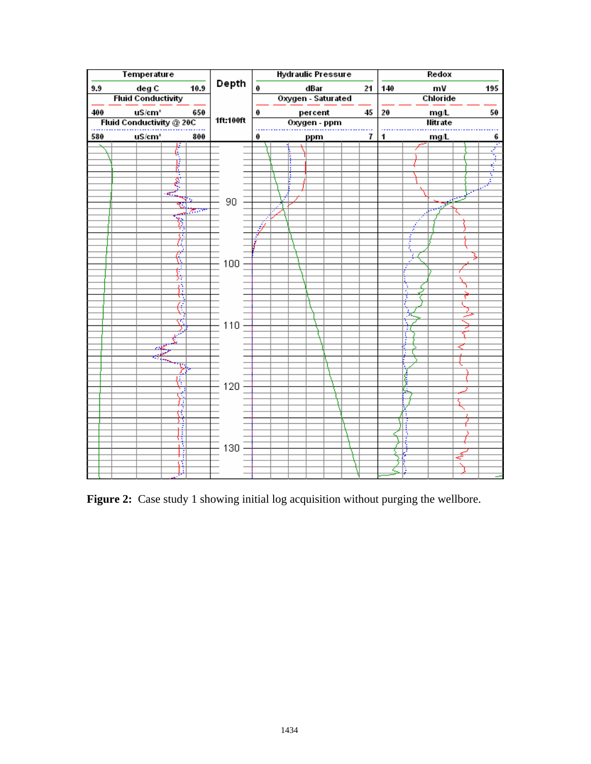

Figure 2: Case study 1 showing initial log acquisition without purging the wellbore.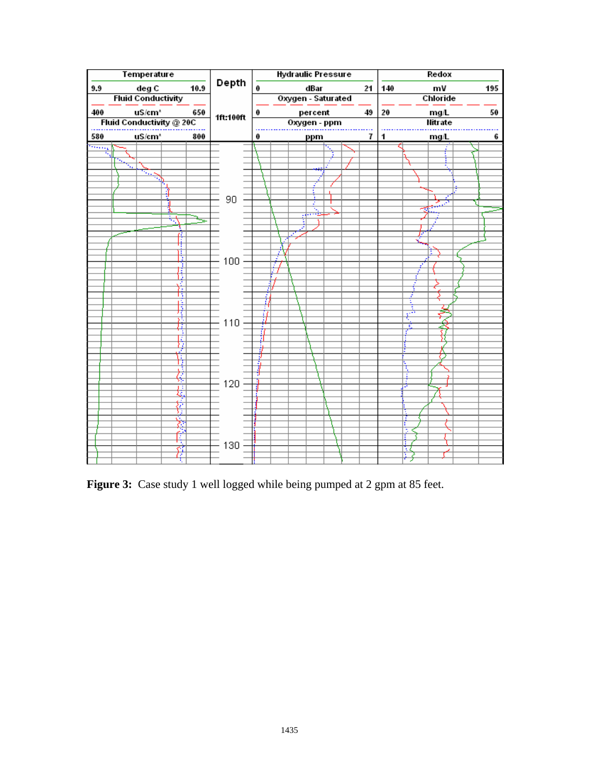

Figure 3: Case study 1 well logged while being pumped at 2 gpm at 85 feet.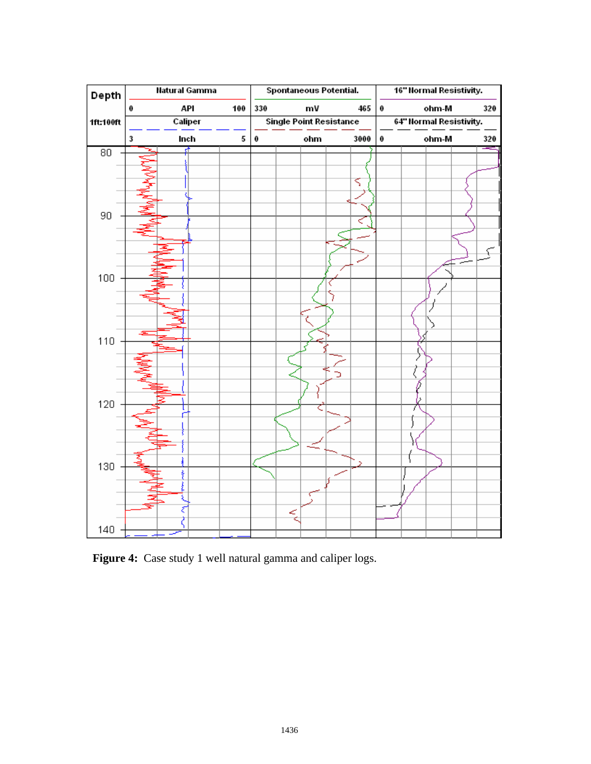

 **Figure 4:** Case study 1 well natural gamma and caliper logs.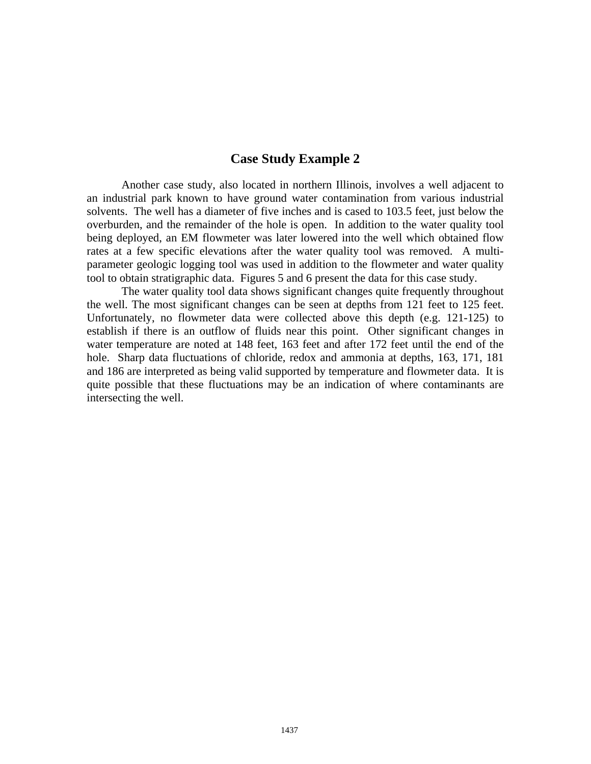### **Case Study Example 2**

Another case study, also located in northern Illinois, involves a well adjacent to an industrial park known to have ground water contamination from various industrial solvents. The well has a diameter of five inches and is cased to 103.5 feet, just below the overburden, and the remainder of the hole is open. In addition to the water quality tool being deployed, an EM flowmeter was later lowered into the well which obtained flow rates at a few specific elevations after the water quality tool was removed. A multiparameter geologic logging tool was used in addition to the flowmeter and water quality tool to obtain stratigraphic data. Figures 5 and 6 present the data for this case study.

The water quality tool data shows significant changes quite frequently throughout the well. The most significant changes can be seen at depths from 121 feet to 125 feet. Unfortunately, no flowmeter data were collected above this depth (e.g. 121-125) to establish if there is an outflow of fluids near this point. Other significant changes in water temperature are noted at 148 feet, 163 feet and after 172 feet until the end of the hole. Sharp data fluctuations of chloride, redox and ammonia at depths, 163, 171, 181 and 186 are interpreted as being valid supported by temperature and flowmeter data. It is quite possible that these fluctuations may be an indication of where contaminants are intersecting the well.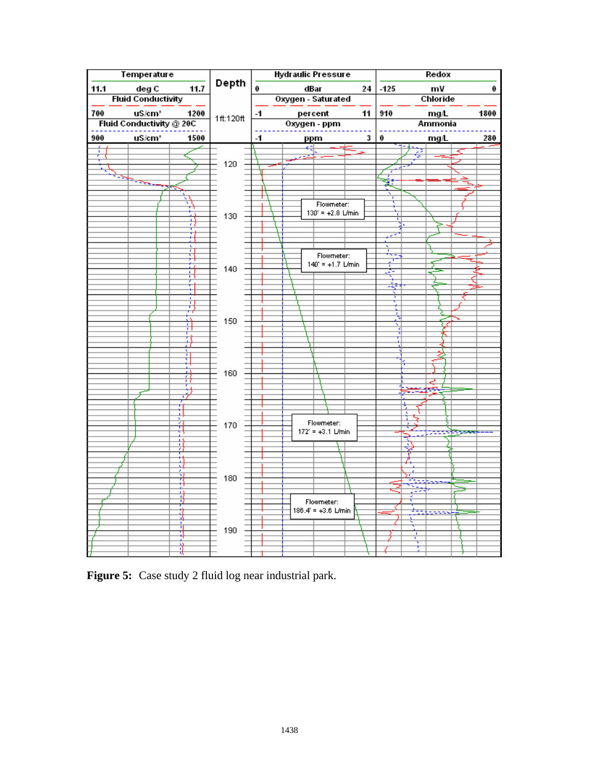

**Figure 5:** Case study 2 fluid log near industrial park.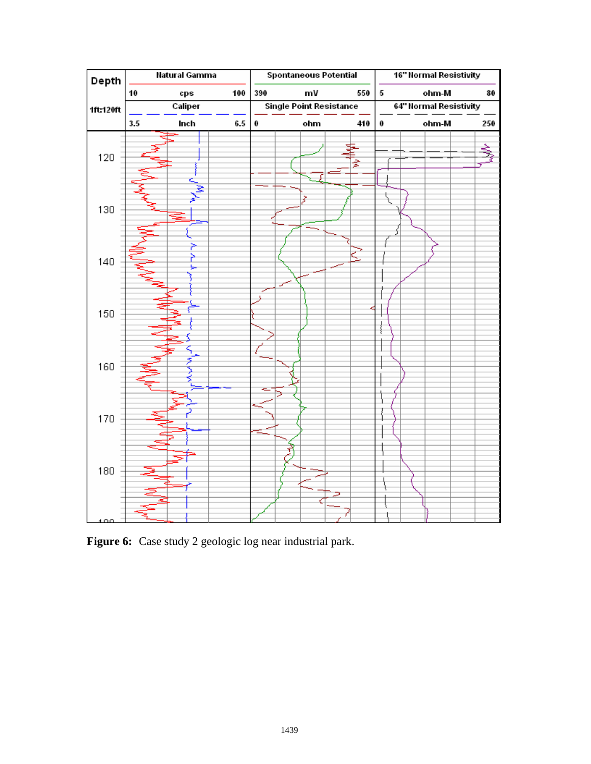

**Figure 6:** Case study 2 geologic log near industrial park.